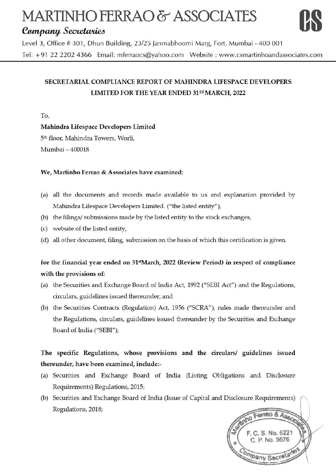# **MARTINiiO FERRAO** & **ASSOCIATES MARTINHO FERRAO & ASSOCIATES**<br> *Company Secretaries*<br>
Level 3. Office # 301. Dhun Building, 23/25 Janmabhoomi Marg. Fort. Mumbai - 400.001



Level 3, Office # 301, Dhun Building, 23/25 Janmabhoomi Marg, Fort, Mumbai - 400 001 Tel: + 91 22 2202 4366 Email: mferraocs@yahoo.com Website: www.csmartinhoandassociates.com

## **SECRETARIAL COMPLIANCE REPORT OF MAHINDRA LIFESPACE DEVELOPERS**  LIMITED FOR THE YEAR ENDED 31<sup>ST</sup> MARCH, 2022

To,

**Mahindra Lifespace Developers Limited** 

5th floor, Mahindra Towers, Worli,

Mumbai - 400018

#### **We, Martinho Ferrao &Associates have examined:**

- (a) all the documents and records made available to us and explanation provided by Mahindra Lifespace Developers Limited. ("the listed entity"),
- (b) the filings/ submissions made by the listed entity to the stock exchanges,
- (c) website of the listed entity,
- (d) all other document, filing, submission on the basis of which this certification is given,

#### **for the financial year ended on 31'1 March, 2022 (Review Period)** in **respect of compliance with the provisions of:**

- (a) the Securities and Exchange Board of India Act, 1992 ("SEBI Act") and the Regulations, circulars, guidelines issued thereunder; and
- (b) the Securities Contracts (Regulation) Act, 1956 ("SCRA"), rules made thereunder and the Regulations, circulars, guidelines issued thereunder by the Securities and Exchange Board of India ("SEBI");

## The specific Regulations, whose provisions and the circulars/ guidelines issued **thereunder, have been examined, include:-**

- ( a) Securities and Exchange Board of India (Listing Obligations and Disclosure Requirements) Regulations, 2015;
- (b) Securities and Exchange Board of India (Issue of Capital and Disclosure Requirements) Regulations, 2018;

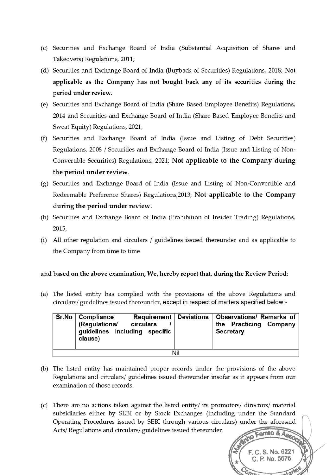- (c) Securities and Exchange Board of India (Substantial Acquisition of Shares and Takeovers) Regulations, 2011;
- (d) Securities and Exchange Board of India (Buyback of Securities) Regulations, 2018; **Not applicable as the Company has not bought back any of its securities during the period under review.**
- (e) Securities and Exchange Board of India (Share Based Employee Benefits) Regulations, 2014 and Securities and Exchange Board of India (Share Based Employee Benefits and Sweat Equity) Regulations, 2021;
- (f) Securities and Exchange Board of India (Issue and Listing of Debt Securities) Regulations, 2008 / Securities and Exchange Board of India (Issue and Listing of Non-Convertible Securities) Regulations, 2021; **Not applicable to the Company during the period under review.**
- (g) Securities and Exchange Board of India (Issue and Listing of Non-Convertible and Redeemable Preference Shares) Regulations,2013; **Not applicable to the Company during the period under review.**
- (h) Securities and Exchange Board of India (Prohibition of Insider Trading) Regulations, 2015;
- (i) All other regulation and circulars / guidelines issued thereunder and as applicable to the Company from time to time

#### **and based on the above examination, We, hereby report that, during the Review Period:**

(a) The listed entity has complied with the provisions of the above Regulations and circulars/ guidelines issued thereunder, except in respect of matters specified below:-

| Sr.No   Compliance<br>(Regulations/<br>guidelines including specific<br>clause) | circulars |     | Requirement   Deviations   Observations/ Remarks of<br>the Practicing Company<br><b>Secretary</b> |
|---------------------------------------------------------------------------------|-----------|-----|---------------------------------------------------------------------------------------------------|
|                                                                                 |           | Nil |                                                                                                   |

- (b) The listed entity has maintained proper records under the provisions of the above Regulations and circulars/ guidelines issued thereunder insofar as it appears from our examination of those records.
- (c) There are no actions taken against the listed entity/ its promoters/ directors/ material subsidiaries either by SEBI or by Stock Exchanges (including under the Standard Operating Procedures issued by SEBI through various circulars) under the aforesaid Acts/Regulations and circulars/ guidelines issued thereunder. Acts/ Regulations and circulars/ guidelines issued thereunder.

C. S. No. 6221 C. P. No. 5676